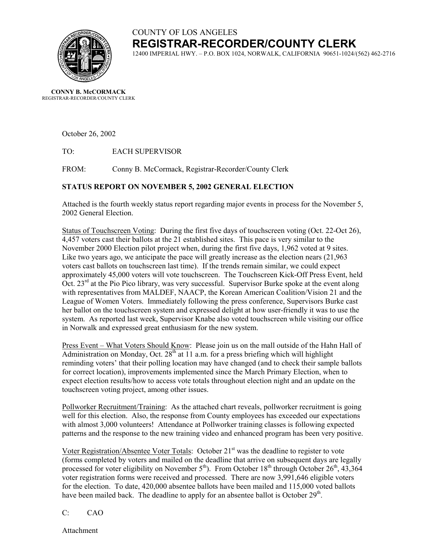

# COUNTY OF LOS ANGELES **REGISTRAR-RECORDER/COUNTY CLERK**

12400 IMPERIAL HWY. – P.O. BOX 1024, NORWALK, CALIFORNIA 90651-1024/(562) 462-2716

**CONNY B. McCORMACK** REGISTRAR-RECORDER/COUNTY CLERK

October 26, 2002

TO: EACH SUPERVISOR

FROM: Conny B. McCormack, Registrar-Recorder/County Clerk

### **STATUS REPORT ON NOVEMBER 5, 2002 GENERAL ELECTION**

Attached is the fourth weekly status report regarding major events in process for the November 5, 2002 General Election.

Status of Touchscreen Voting: During the first five days of touchscreen voting (Oct. 22-Oct 26), 4,457 voters cast their ballots at the 21 established sites. This pace is very similar to the November 2000 Election pilot project when, during the first five days, 1,962 voted at 9 sites. Like two years ago, we anticipate the pace will greatly increase as the election nears (21,963 voters cast ballots on touchscreen last time). If the trends remain similar, we could expect approximately 45,000 voters will vote touchscreen. The Touchscreen Kick-Off Press Event, held Oct. 23<sup>rd</sup> at the Pio Pico library, was very successful. Supervisor Burke spoke at the event along with representatives from MALDEF, NAACP, the Korean American Coalition/Vision 21 and the League of Women Voters. Immediately following the press conference, Supervisors Burke cast her ballot on the touchscreen system and expressed delight at how user-friendly it was to use the system. As reported last week, Supervisor Knabe also voted touchscreen while visiting our office in Norwalk and expressed great enthusiasm for the new system.

Press Event – What Voters Should Know: Please join us on the mall outside of the Hahn Hall of Administration on Monday, Oct.  $28<sup>th</sup>$  at 11 a.m. for a press briefing which will highlight reminding voters' that their polling location may have changed (and to check their sample ballots for correct location), improvements implemented since the March Primary Election, when to expect election results/how to access vote totals throughout election night and an update on the touchscreen voting project, among other issues.

Pollworker Recruitment/Training: As the attached chart reveals, pollworker recruitment is going well for this election. Also, the response from County employees has exceeded our expectations with almost 3,000 volunteers! Attendance at Pollworker training classes is following expected patterns and the response to the new training video and enhanced program has been very positive.

Voter Registration/Absentee Voter Totals: October 21<sup>st</sup> was the deadline to register to vote (forms completed by voters and mailed on the deadline that arrive on subsequent days are legally processed for voter eligibility on November  $5<sup>th</sup>$ ). From October  $18<sup>th</sup>$  through October  $26<sup>th</sup>$ ,  $43,364$ voter registration forms were received and processed. There are now 3,991,646 eligible voters for the election. To date, 420,000 absentee ballots have been mailed and 115,000 voted ballots have been mailed back. The deadline to apply for an absentee ballot is October  $29<sup>th</sup>$ .

### C: CAO

Attachment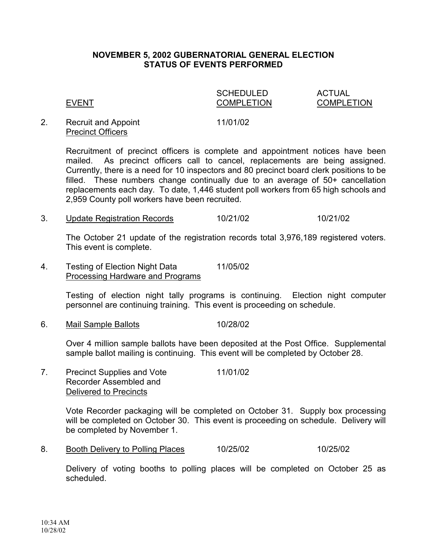### **NOVEMBER 5, 2002 GUBERNATORIAL GENERAL ELECTION STATUS OF EVENTS PERFORMED**

### SCHEDULED ACTUAL EVENT COMPLETION COMPLETION

### 2. Recruit and Appoint 11/01/02 Precinct Officers

Recruitment of precinct officers is complete and appointment notices have been mailed. As precinct officers call to cancel, replacements are being assigned. Currently, there is a need for 10 inspectors and 80 precinct board clerk positions to be filled. These numbers change continually due to an average of 50+ cancellation replacements each day. To date, 1,446 student poll workers from 65 high schools and 2,959 County poll workers have been recruited.

3. Update Registration Records 10/21/02 10/21/02

The October 21 update of the registration records total 3,976,189 registered voters. This event is complete.

4. Testing of Election Night Data 11/05/02 Processing Hardware and Programs

> Testing of election night tally programs is continuing. Election night computer personnel are continuing training. This event is proceeding on schedule.

6. Mail Sample Ballots 10/28/02

Over 4 million sample ballots have been deposited at the Post Office. Supplemental sample ballot mailing is continuing. This event will be completed by October 28.

7. Precinct Supplies and Vote 11/01/02 Recorder Assembled and Delivered to Precincts

> Vote Recorder packaging will be completed on October 31. Supply box processing will be completed on October 30. This event is proceeding on schedule. Delivery will be completed by November 1.

8. Booth Delivery to Polling Places 10/25/02 10/25/02

Delivery of voting booths to polling places will be completed on October 25 as scheduled.